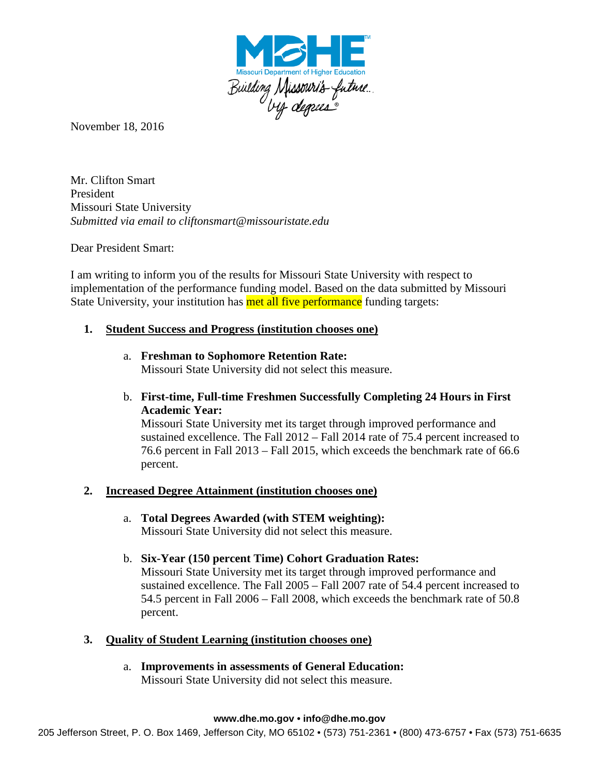

November 18, 2016

Mr. Clifton Smart President Missouri State University *Submitted via email to cliftonsmart@missouristate.edu*

Dear President Smart:

I am writing to inform you of the results for Missouri State University with respect to implementation of the performance funding model. Based on the data submitted by Missouri State University, your institution has **met all five performance** funding targets:

## **1. Student Success and Progress (institution chooses one)**

- a. **Freshman to Sophomore Retention Rate:** Missouri State University did not select this measure.
- b. **First-time, Full-time Freshmen Successfully Completing 24 Hours in First Academic Year:**

Missouri State University met its target through improved performance and sustained excellence. The Fall 2012 – Fall 2014 rate of 75.4 percent increased to 76.6 percent in Fall 2013 – Fall 2015, which exceeds the benchmark rate of 66.6 percent.

## **2. Increased Degree Attainment (institution chooses one)**

- a. **Total Degrees Awarded (with STEM weighting):** Missouri State University did not select this measure.
- b. **Six-Year (150 percent Time) Cohort Graduation Rates:** Missouri State University met its target through improved performance and sustained excellence. The Fall 2005 – Fall 2007 rate of 54.4 percent increased to 54.5 percent in Fall 2006 – Fall 2008, which exceeds the benchmark rate of 50.8 percent.
- **3. Quality of Student Learning (institution chooses one)**
	- a. **Improvements in assessments of General Education:** Missouri State University did not select this measure.